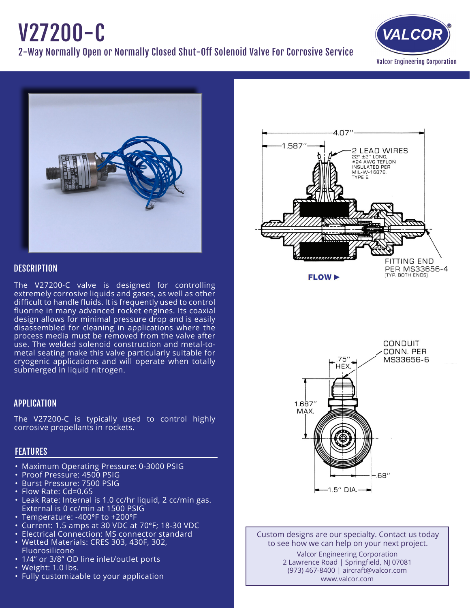# V27200-C

2-Way Normally Open or Normally Closed Shut-Off Solenoid Valve For Corrosive Service





# **DESCRIPTION**

The V27200-C valve is designed for controlling extremely corrosive liquids and gases, as well as other difficult to handle fluids. It is frequently used to control fluorine in many advanced rocket engines. Its coaxial design allows for minimal pressure drop and is easily disassembled for cleaning in applications where the process media must be removed from the valve after use. The welded solenoid construction and metal-tometal seating make this valve particularly suitable for cryogenic applications and will operate when totally submerged in liquid nitrogen.

# APPLICATION

The V27200-C is typically used to control highly corrosive propellants in rockets.

# FEATURES

- Maximum Operating Pressure: 0-3000 PSIG
- Proof Pressure: 4500 PSIG
- • Burst Pressure: 7500 PSIG
- Flow Rate: Cd=0.65
- Leak Rate: Internal is 1.0 cc/hr liquid, 2 cc/min gas. External is 0 cc/min at 1500 PSIG
- Temperature: -400°F to +200°F
- • Current: 1.5 amps at 30 VDC at 70°F; 18-30 VDC
- • Electrical Connection: MS connector standard
- • Wetted Materials: CRES 303, 430F, 302, Fluorosilicone
- 1/4" or 3/8" OD line inlet/outlet ports
- Weight: 1.0 lbs.
- Fully customizable to your application





Custom designs are our specialty. Contact us today to see how we can help on your next project. Valcor Engineering Corporation 2 Lawrence Road | Springfield, NJ 07081 (973) 467-8400 | aircraft@valcor.com

www.valcor.com